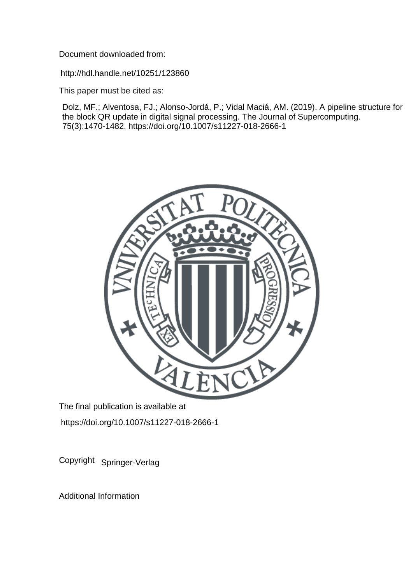Document downloaded from:

http://hdl.handle.net/10251/123860

This paper must be cited as:

Dolz, MF.; Alventosa, FJ.; Alonso-Jordá, P.; Vidal Maciá, AM. (2019). A pipeline structure for the block QR update in digital signal processing. The Journal of Supercomputing. 75(3):1470-1482. https://doi.org/10.1007/s11227-018-2666-1



The final publication is available at https://doi.org/10.1007/s11227-018-2666-1

Copyright Springer-Verlag

Additional Information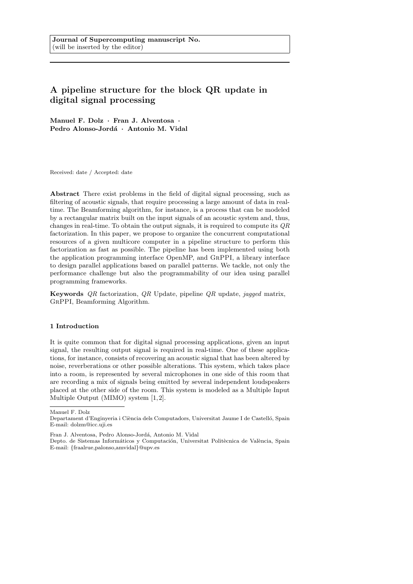# A pipeline structure for the block QR update in digital signal processing

Manuel F. Dolz · Fran J. Alventosa · Pedro Alonso-Jordá · Antonio M. Vidal

Received: date / Accepted: date

Abstract There exist problems in the field of digital signal processing, such as filtering of acoustic signals, that require processing a large amount of data in realtime. The Beamforming algorithm, for instance, is a process that can be modeled by a rectangular matrix built on the input signals of an acoustic system and, thus, changes in real-time. To obtain the output signals, it is required to compute its  $OR$ factorization. In this paper, we propose to organize the concurrent computational resources of a given multicore computer in a pipeline structure to perform this factorization as fast as possible. The pipeline has been implemented using both the application programming interface OpenMP, and GrPPI, a library interface to design parallel applications based on parallel patterns. We tackle, not only the performance challenge but also the programmability of our idea using parallel programming frameworks.

Keywords  $QR$  factorization,  $QR$  Update, pipeline  $QR$  update, jagged matrix, GrPPI, Beamforming Algorithm.

#### 1 Introduction

It is quite common that for digital signal processing applications, given an input signal, the resulting output signal is required in real-time. One of these applications, for instance, consists of recovering an acoustic signal that has been altered by noise, reverberations or other possible alterations. This system, which takes place into a room, is represented by several microphones in one side of this room that are recording a mix of signals being emitted by several independent loudspeakers placed at the other side of the room. This system is modeled as a Multiple Input Multiple Output (MIMO) system [1,2].

Manuel F. Dolz

Departament d'Enginyeria i Ciència dels Computadors, Universitat Jaume I de Castelló, Spain E-mail: dolzm@icc.uji.es

Fran J. Alventosa, Pedro Alonso-Jordá, Antonio M. Vidal

Depto. de Sistemas Informáticos y Computación, Universitat Politècnica de València, Spain E-mail: {fraalrue,palonso,amvidal}@upv.es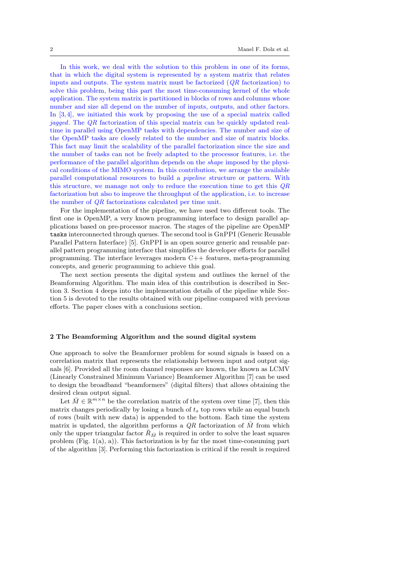In this work, we deal with the solution to this problem in one of its forms, that in which the digital system is represented by a system matrix that relates inputs and outputs. The system matrix must be factorized  $(QR \text{ factorization})$  to solve this problem, being this part the most time-consuming kernel of the whole application. The system matrix is partitioned in blocks of rows and columns whose number and size all depend on the number of inputs, outputs, and other factors. In [3, 4], we initiated this work by proposing the use of a special matrix called jagged. The QR factorization of this special matrix can be quickly updated realtime in parallel using OpenMP tasks with dependencies. The number and size of the OpenMP tasks are closely related to the number and size of matrix blocks. This fact may limit the scalability of the parallel factorization since the size and the number of tasks can not be freely adapted to the processor features, i.e. the performance of the parallel algorithm depends on the shape imposed by the physical conditions of the MIMO system. In this contribution, we arrange the available parallel computational resources to build a pipeline structure or pattern. With this structure, we manage not only to reduce the execution time to get this QR factorization but also to improve the throughput of the application, i.e. to increase the number of QR factorizations calculated per time unit.

For the implementation of the pipeline, we have used two different tools. The first one is OpenMP, a very known programming interface to design parallel applications based on pre-processor macros. The stages of the pipeline are OpenMP tasks interconnected through queues. The second tool is GrPPI (Generic Reusable Parallel Pattern Interface) [5]. GrPPI is an open source generic and reusable parallel pattern programming interface that simplifies the developer efforts for parallel programming. The interface leverages modern C++ features, meta-programming concepts, and generic programming to achieve this goal.

The next section presents the digital system and outlines the kernel of the Beamforming Algorithm. The main idea of this contribution is described in Section 3. Section 4 deeps into the implementation details of the pipeline while Section 5 is devoted to the results obtained with our pipeline compared with previous efforts. The paper closes with a conclusions section.

## 2 The Beamforming Algorithm and the sound digital system

One approach to solve the Beamformer problem for sound signals is based on a correlation matrix that represents the relationship between input and output signals [6]. Provided all the room channel responses are known, the known as LCMV (Linearly Constrained Minimum Variance) Beamformer Algorithm [7] can be used to design the broadband "beamformers" (digital filters) that allows obtaining the desired clean output signal.

Let  $\bar{M} \in \mathbb{R}^{m \times n}$  be the correlation matrix of the system over time [7], then this matrix changes periodically by losing a bunch of  $t_s$  top rows while an equal bunch of rows (built with new data) is appended to the bottom. Each time the system matrix is updated, the algorithm performs a  $QR$  factorization of  $\overline{M}$  from which only the upper triangular factor  $\bar{R}_{\bar{M}}$  is required in order to solve the least squares problem (Fig.  $1(a)$ , a)). This factorization is by far the most time-consuming part of the algorithm [3]. Performing this factorization is critical if the result is required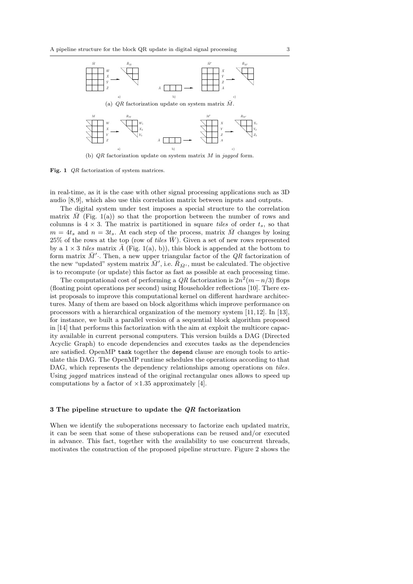

(b)  $QR$  factorization update on system matrix  $M$  in jagged form.

Fig. 1 QR factorization of system matrices.

in real-time, as it is the case with other signal processing applications such as 3D audio [8, 9], which also use this correlation matrix between inputs and outputs.

The digital system under test imposes a special structure to the correlation matrix  $\overline{M}$  (Fig. 1(a)) so that the proportion between the number of rows and columns is  $4 \times 3$ . The matrix is partitioned in square tiles of order  $t_s$ , so that  $m = 4t_s$  and  $n = 3t_s$ . At each step of the process, matrix M changes by losing 25% of the rows at the top (row of tiles  $\bar{W}$ ). Given a set of new rows represented by a  $1 \times 3$  tiles matrix  $\overline{A}$  (Fig. 1(a), b)), this block is appended at the bottom to form matrix  $\bar{M}'$ . Then, a new upper triangular factor of the QR factorization of the new "updated" system matrix  $\bar{M}'$ , i.e.  $\bar{R}_{\bar{M}'},$  must be calculated. The objective is to recompute (or update) this factor as fast as possible at each processing time.

The computational cost of performing a  $QR$  factorization is  $2n^2(m-n/3)$  flops (floating point operations per second) using Householder reflections [10]. There exist proposals to improve this computational kernel on different hardware architectures. Many of them are based on block algorithms which improve performance on processors with a hierarchical organization of the memory system [11,12]. In [13], for instance, we built a parallel version of a sequential block algorithm proposed in [14] that performs this factorization with the aim at exploit the multicore capacity available in current personal computers. This version builds a DAG (Directed Acyclic Graph) to encode dependencies and executes tasks as the dependencies are satisfied. OpenMP task together the depend clause are enough tools to articulate this DAG. The OpenMP runtime schedules the operations according to that DAG, which represents the dependency relationships among operations on tiles. Using *jagged* matrices instead of the original rectangular ones allows to speed up computations by a factor of  $\times$ 1.35 approximately [4].

#### 3 The pipeline structure to update the QR factorization

When we identify the suboperations necessary to factorize each updated matrix, it can be seen that some of these suboperations can be reused and/or executed in advance. This fact, together with the availability to use concurrent threads, motivates the construction of the proposed pipeline structure. Figure 2 shows the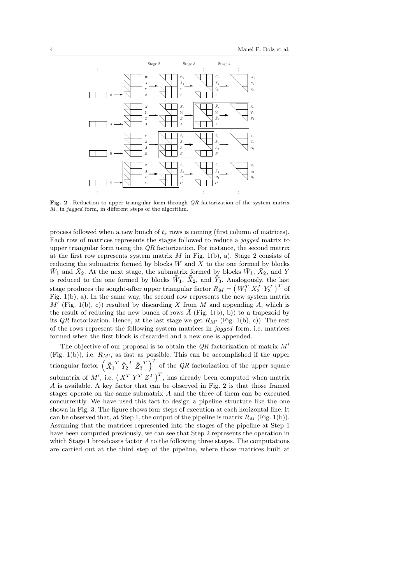

Fig. 2 Reduction to upper triangular form through  $QR$  factorization of the system matrix M, in jagged form, in different steps of the algorithm.

process followed when a new bunch of  $t_s$  rows is coming (first column of matrices). Each row of matrices represents the stages followed to reduce a jagged matrix to upper triangular form using the QR factorization. For instance, the second matrix at the first row represents system matrix  $M$  in Fig. 1(b), a). Stage 2 consists of reducing the submatrix formed by blocks  $W$  and  $X$  to the one formed by blocks  $\bar{W}_1$  and  $\bar{X}_2$ . At the next stage, the submatrix formed by blocks  $\bar{W}_1$ ,  $\bar{X}_2$ , and Y is reduced to the one formed by blocks  $\overline{W}_1$ ,  $\overline{X}_2$ , and  $\overline{Y}_3$ . Analogously, the last stage produces the sought-after upper triangular factor  $R_M = \left( \, W_1^T \; \, X_2^T \; \, Y_3^T \, \right)^T$  of Fig. 1(b), a). In the same way, the second row represents the new system matrix  $M'$  (Fig. 1(b), c)) resulted by discarding X from M and appending A, which is the result of reducing the new bunch of rows  $A$  (Fig. 1(b), b)) to a trapezoid by its QR factorization. Hence, at the last stage we get  $R_{M'}$  (Fig. 1(b), c)). The rest of the rows represent the following system matrices in jagged form, i.e. matrices formed when the first block is discarded and a new one is appended.

The objective of our proposal is to obtain the  $QR$  factorization of matrix  $M'$ (Fig. 1(b)), i.e.  $R_{M'}$ , as fast as possible. This can be accomplished if the upper triangular factor  $\left(\ \bar{X}_1^T \ \bar{Y}_2^T \ \bar{Z}_3^T \right)^T$  of the QR factorization of the upper square submatrix of M', i.e.  $(X^T Y^T Z^T)^T$ , has already been computed when matrix A is available. A key factor that can be observed in Fig. 2 is that those framed stages operate on the same submatrix A and the three of them can be executed concurrently. We have used this fact to design a pipeline structure like the one shown in Fig. 3. The figure shows four steps of execution at each horizontal line. It can be observed that, at Step 1, the output of the pipeline is matrix  $R_M$  (Fig. 1(b)). Assuming that the matrices represented into the stages of the pipeline at Step 1 have been computed previously, we can see that Step 2 represents the operation in which Stage 1 broadcasts factor A to the following three stages. The computations are carried out at the third step of the pipeline, where those matrices built at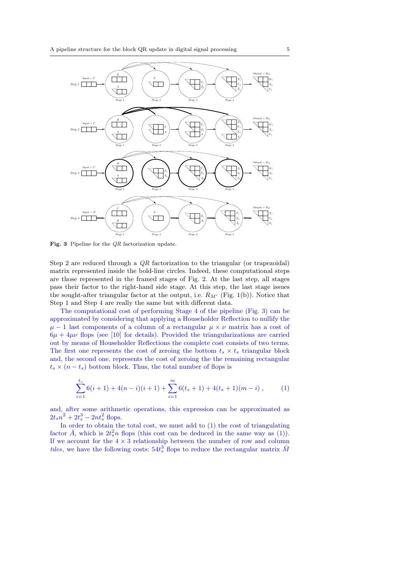

Fig. 3 Pipeline for the QR factorization update.

Step 2 are reduced through a QR factorization to the triangular (or trapezoidal) matrix represented inside the bold-line circles. Indeed, these computational steps are those represented in the framed stages of Fig. 2. At the last step, all stages pass their factor to the right-hand side stage. At this step, the last stage issues the sought-after triangular factor at the output, i.e.  $R_{M'}$  (Fig. 1(b)). Notice that Step 1 and Step 4 are really the same but with different data.

The computational cost of performing Stage 4 of the pipeline (Fig. 3) can be approximated by considering that applying a Householder Reflection to nullify the  $\mu - 1$  last components of a column of a rectangular  $\mu \times \nu$  matrix has a cost of  $6\mu + 4\mu\nu$  flops (see [10] for details). Provided the triangularizations are carried out by means of Householder Reflections the complete cost consists of two terms. The first one represents the cost of zeroing the bottom  $t_s \times t_s$  triangular block and, the second one, represents the cost of zeroing the the remaining rectangular  $t_s \times (n - t_s)$  bottom block. Thus, the total number of flops is

$$
\sum_{i=1}^{t_s} 6(i+1) + 4(n-i)(i+1) + \sum_{i=1}^{m} 6(t_s+1) + 4(t_s+1)(m-i) ,\qquad (1)
$$

and, after some arithmetic operations, this expression can be approximated as  $2t_s n^2 + 2t_s^3 - 2nt_s^2$  flops.

In order to obtain the total cost, we must add to (1) the cost of triangulating factor  $\bar{A}$ , which is  $2t_s^2n$  flops (this cost can be deduced in the same way as (1)). If we account for the  $4 \times 3$  relationship between the number of row and column tiles, we have the following costs:  $54t_s^3$  flops to reduce the rectangular matrix  $\bar{M}$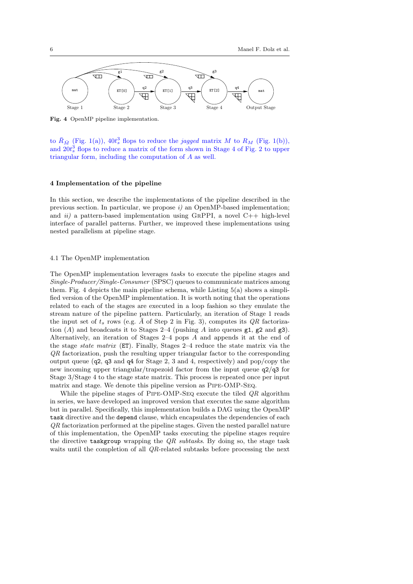

Fig. 4 OpenMP pipeline implementation.

to  $\bar{R}_{\bar{M}}$  (Fig. 1(a)),  $40t_s^3$  flops to reduce the *jagged* matrix M to  $R_M$  (Fig. 1(b)), and  $20t_s^3$  flops to reduce a matrix of the form shown in Stage 4 of Fig. 2 to upper triangular form, including the computation of A as well.

## 4 Implementation of the pipeline

In this section, we describe the implementations of the pipeline described in the previous section. In particular, we propose  $i$ ) an OpenMP-based implementation; and  $ii)$  a pattern-based implementation using GRPPI, a novel C++ high-level interface of parallel patterns. Further, we improved these implementations using nested parallelism at pipeline stage.

# 4.1 The OpenMP implementation

The OpenMP implementation leverages tasks to execute the pipeline stages and Single-Producer/Single-Consumer (SPSC) queues to communicate matrices among them. Fig. 4 depicts the main pipeline schema, while Listing  $5(a)$  shows a simplified version of the OpenMP implementation. It is worth noting that the operations related to each of the stages are executed in a loop fashion so they emulate the stream nature of the pipeline pattern. Particularly, an iteration of Stage 1 reads the input set of  $t_s$  rows (e.g.  $\bar{A}$  of Step 2 in Fig. 3), computes its  $QR$  factorization  $(A)$  and broadcasts it to Stages 2–4 (pushing A into queues  $g1, g2$  and  $g3$ ). Alternatively, an iteration of Stages 2–4 pops A and appends it at the end of the stage state matrix (ET). Finally, Stages 2–4 reduce the state matrix via the QR factorization, push the resulting upper triangular factor to the corresponding output queue (q2, q3 and q4 for Stage 2, 3 and 4, respectively) and pop/copy the new incoming upper triangular/trapezoid factor from the input queue q2/q3 for Stage 3/Stage 4 to the stage state matrix. This process is repeated once per input matrix and stage. We denote this pipeline version as Pipe-OMP-Seq.

While the pipeline stages of PIPE-OMP-SEQ execute the tiled  $QR$  algorithm in series, we have developed an improved version that executes the same algorithm but in parallel. Specifically, this implementation builds a DAG using the OpenMP task directive and the depend clause, which encapsulates the dependencies of each QR factorization performed at the pipeline stages. Given the nested parallel nature of this implementation, the OpenMP tasks executing the pipeline stages require the directive taskgroup wrapping the  $QR$  subtasks. By doing so, the stage task waits until the completion of all QR-related subtasks before processing the next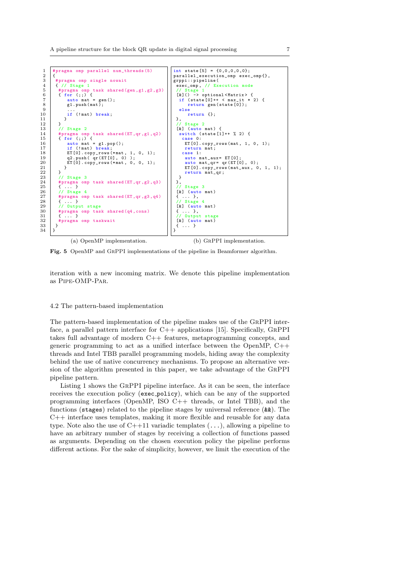$\frac{2}{3}$ 

 $\overline{33}$ 34 }

```
# pragma omp parallel num_threads (5)
 3 # pragma omp single nowait<br>4 { // Stage 1<br>5 # pragma omp task shared (
                  -<br>Stage
 5 # pragma omp task shared (gen, g1, g2, g3)<br>
6 { for (;;) {<br>
auto mat = gen();<br>
g 1, push (mat);<br>
9 ...
           {\rm for} (i;)auto mat = gen();
                g1. push (mat);
  9 ...
              if (!mat) break;
\begin{array}{c} 10 \\ 11 \\ 12 \end{array}\begin{array}{c|c} 12 & & \\ 13 & & \end{array}13 // Stage 2<br>14 # pragma om<br>15 { for (;;)
14 # pragma omp task shared (ET ,qr ,g1 ,q2)
15 { for (;;) {
16 auto mat = g1.pop();<br>17 if (!mat) break;
18 ET [0]. copy_rows (* mat , 1 , 0 , 1);
                q2. push(qr(ET[0], 0))ET[\dot{0}]. copy_rows (*mat, 0, 0, 1);
\begin{array}{c} 21 \\ 22 \end{array} }
\begin{array}{c|c} 22 & \cdot & \cdot \\ 23 & \cdot & \cdot \end{array} // Stage 3
24 # pragma omp task shared (ET, qr, g2, q3)<br>
25 { ...}
24 #pragma<br>
25 { ... }<br>
26 // Stag<br>
27 #pragma<br>
28 { ... }
           \frac{1}{8} Stage 4
           # pragma omp task shared (ET,qr,g3,q4)28 { ...}<br>29 // 0utp<br>30 #pragma
                Output stage
30 # pragma omp task shared (q4, \text{cons})<br>32 # pragma omp taskwait
           * pragna omp<br>{ \cdot }
         # pragma omp taskwait
                  (a) OpenMP implementation.
                                                                               int state [5] = \{0.0.0.0.0\}:
                                                                               parallel_execution_omp exec_omp{},
                                                                               erppi::pipeline (exec_omp, // Ex<br>(/ Stage 1)
                                                                                                      Execution mode
                                                                                 // Stage 1
[&]() -> optional < Matrix > {
if ( state [0]++ < max_it * 2) {
                                                                                       return gen (state [0]);
                                                                                  else
                                                                                       return {};
                                                                                 },
// Stage 2
                                                                                 [&] (auto mat) {
                                                                                  switch ( state [1]++ % 2) {
case 0:
                                                                                     ET [0]. copy_rows ( mat , 1, 0, 1);
                                                                                     return mat ;
                                                                                    case 1:
                                                                                     auto mat_aux= ET [0];
                                                                                      auto mat_qr= qr(ET[0], 0);<br>ET[0].copy_rows(mat_aux, 0, 1, 1);
                                                                                     return mat_qr ;
                                                                                  }
                                                                               },
                                                                                     Stage 3
                                                                                 [k] (auto mat)<br>{ ... },<br>// Stage 4
                                                                                 [k] (auto mat)
                                                                                 { ... },
// Output stage
                                                                                 [x] (auto mat)
                                                                                { ... }
                                                                               }
                                                                                          (b) GrPPI implementation.
```
Fig. 5 OpenMP and GrPPI implementations of the pipeline in Beamformer algorithm.

iteration with a new incoming matrix. We denote this pipeline implementation as Pipe-OMP-Par.

#### 4.2 The pattern-based implementation

The pattern-based implementation of the pipeline makes use of the GrPPI interface, a parallel pattern interface for C++ applications [15]. Specifically, GrPPI takes full advantage of modern C++ features, metaprogramming concepts, and generic programming to act as a unified interface between the OpenMP,  $C++$ threads and Intel TBB parallel programming models, hiding away the complexity behind the use of native concurrency mechanisms. To propose an alternative version of the algorithm presented in this paper, we take advantage of the GrPPI pipeline pattern.

Listing 1 shows the GrPPI pipeline interface. As it can be seen, the interface receives the execution policy (exec policy), which can be any of the supported programming interfaces (OpenMP, ISO C++ threads, or Intel TBB), and the functions (stages) related to the pipeline stages by universal reference (&&). The C++ interface uses templates, making it more flexible and reusable for any data type. Note also the use of  $C++11$  variadic templates  $(\ldots)$ , allowing a pipeline to have an arbitrary number of stages by receiving a collection of functions passed as arguments. Depending on the chosen execution policy the pipeline performs different actions. For the sake of simplicity, however, we limit the execution of the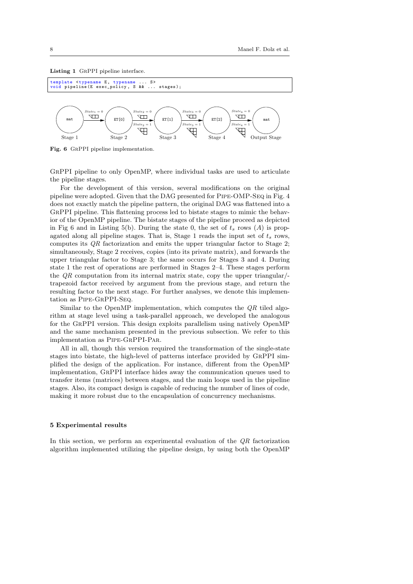



Fig. 6 GrPPI pipeline implementation.

GrPPI pipeline to only OpenMP, where individual tasks are used to articulate the pipeline stages.

For the development of this version, several modifications on the original pipeline were adopted. Given that the DAG presented for Pipe-OMP-Seq in Fig. 4 does not exactly match the pipeline pattern, the original DAG was flattened into a GrPPI pipeline. This flattening process led to bistate stages to mimic the behavior of the OpenMP pipeline. The bistate stages of the pipeline proceed as depicted in Fig 6 and in Listing 5(b). During the state 0, the set of  $t_s$  rows (A) is propagated along all pipeline stages. That is, Stage 1 reads the input set of  $t_s$  rows, computes its QR factorization and emits the upper triangular factor to Stage 2; simultaneously, Stage 2 receives, copies (into its private matrix), and forwards the upper triangular factor to Stage 3; the same occurs for Stages 3 and 4. During state 1 the rest of operations are performed in Stages 2–4. These stages perform the QR computation from its internal matrix state, copy the upper triangular/ trapezoid factor received by argument from the previous stage, and return the resulting factor to the next stage. For further analyses, we denote this implementation as Pipe-GrPPI-Seq.

Similar to the OpenMP implementation, which computes the QR tiled algorithm at stage level using a task-parallel approach, we developed the analogous for the GrPPI version. This design exploits parallelism using natively OpenMP and the same mechanism presented in the previous subsection. We refer to this implementation as Pipe-GrPPI-Par.

All in all, though this version required the transformation of the single-state stages into bistate, the high-level of patterns interface provided by GrPPI simplified the design of the application. For instance, different from the OpenMP implementation, GrPPI interface hides away the communication queues used to transfer items (matrices) between stages, and the main loops used in the pipeline stages. Also, its compact design is capable of reducing the number of lines of code, making it more robust due to the encapsulation of concurrency mechanisms.

## 5 Experimental results

In this section, we perform an experimental evaluation of the QR factorization algorithm implemented utilizing the pipeline design, by using both the OpenMP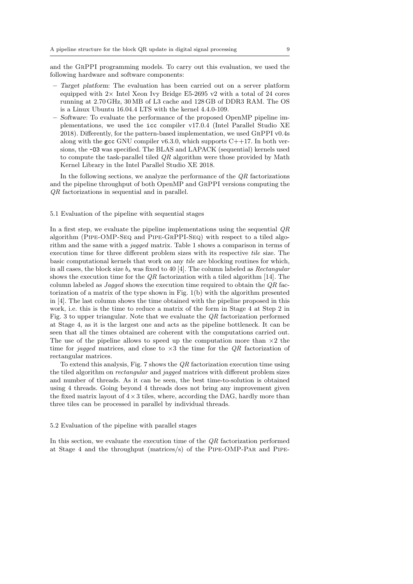and the GrPPI programming models. To carry out this evaluation, we used the following hardware and software components:

- Target platform: The evaluation has been carried out on a server platform equipped with  $2\times$  Intel Xeon Ivy Bridge E5-2695 v2 with a total of 24 cores running at 2.70 GHz, 30 MB of L3 cache and 128 GB of DDR3 RAM. The OS is a Linux Ubuntu 16.04.4 LTS with the kernel 4.4.0-109.
- Software: To evaluate the performance of the proposed OpenMP pipeline implementations, we used the icc compiler v17.0.4 (Intel Parallel Studio XE 2018). Differently, for the pattern-based implementation, we used GrPPI v0.4s along with the gcc GNU compiler  $v6.3.0$ , which supports  $C++17$ . In both versions, the -O3 was specified. The BLAS and LAPACK (sequential) kernels used to compute the task-parallel tiled  $QR$  algorithm were those provided by Math Kernel Library in the Intel Parallel Studio XE 2018.

In the following sections, we analyze the performance of the  $QR$  factorizations and the pipeline throughput of both OpenMP and GrPPI versions computing the QR factorizations in sequential and in parallel.

#### 5.1 Evaluation of the pipeline with sequential stages

In a first step, we evaluate the pipeline implementations using the sequential QR algorithm (Pipe-OMP-Seq and Pipe-GrPPI-Seq) with respect to a tiled algorithm and the same with a jagged matrix. Table 1 shows a comparison in terms of execution time for three different problem sizes with its respective tile size. The basic computational kernels that work on any tile are blocking routines for which, in all cases, the block size  $b_s$  was fixed to 40 [4]. The column labeled as *Rectangular* shows the execution time for the  $QR$  factorization with a tiled algorithm [14]. The column labeled as *Jagged* shows the execution time required to obtain the  $QR$  factorization of a matrix of the type shown in Fig. 1(b) with the algorithm presented in [4]. The last column shows the time obtained with the pipeline proposed in this work, i.e. this is the time to reduce a matrix of the form in Stage 4 at Step 2 in Fig. 3 to upper triangular. Note that we evaluate the QR factorization performed at Stage 4, as it is the largest one and acts as the pipeline bottleneck. It can be seen that all the times obtained are coherent with the computations carried out. The use of the pipeline allows to speed up the computation more than  $\times 2$  the time for jagged matrices, and close to  $\times 3$  the time for the QR factorization of rectangular matrices.

To extend this analysis, Fig. 7 shows the  $QR$  factorization execution time using the tiled algorithm on rectangular and jagged matrices with different problem sizes and number of threads. As it can be seen, the best time-to-solution is obtained using 4 threads. Going beyond 4 threads does not bring any improvement given the fixed matrix layout of  $4 \times 3$  tiles, where, according the DAG, hardly more than three tiles can be processed in parallel by individual threads.

#### 5.2 Evaluation of the pipeline with parallel stages

In this section, we evaluate the execution time of the  $QR$  factorization performed at Stage 4 and the throughput (matrices/s) of the Pipe-OMP-Par and Pipe-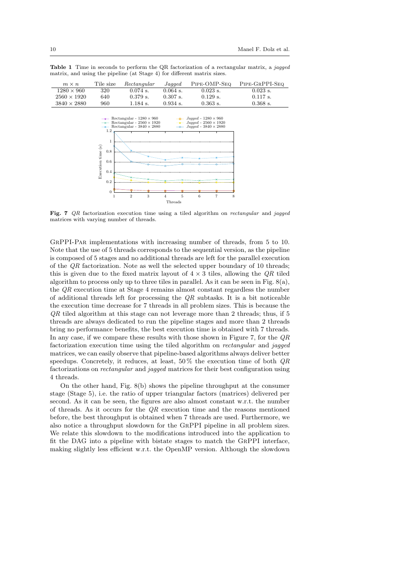| $m \times n$       | Tile size | Rectangular | Jagged     | PIPE-OMP-SEO | PIPE-GRPPI-SEQ |
|--------------------|-----------|-------------|------------|--------------|----------------|
| $1280 \times 960$  | 320       | $0.074$ s.  | $0.064$ s. | $0.023$ s.   | $0.023$ s.     |
| $2560 \times 1920$ | 640       | $0.379$ s.  | $0.307$ s. | $0.129$ s.   | $0.117$ s.     |
| $3840 \times 2880$ | 960       | $1.184$ s.  | $0.934$ s. | $0.363$ s.   | $0.368$ s.     |

Table 1 Time in seconds to perform the QR factorization of a rectangular matrix, a jagged matrix, and using the pipeline (at Stage 4) for different matrix sizes.



Fig. 7 QR factorization execution time using a tiled algorithm on rectangular and jagged matrices with varying number of threads.

GrPPI-Par implementations with increasing number of threads, from 5 to 10. Note that the use of 5 threads corresponds to the sequential version, as the pipeline is composed of 5 stages and no additional threads are left for the parallel execution of the  $QR$  factorization. Note as well the selected upper boundary of 10 threads; this is given due to the fixed matrix layout of  $4 \times 3$  tiles, allowing the  $QR$  tiled algorithm to process only up to three tiles in parallel. As it can be seen in Fig.  $8(a)$ , the QR execution time at Stage 4 remains almost constant regardless the number of additional threads left for processing the  $QR$  subtasks. It is a bit noticeable the execution time decrease for 7 threads in all problem sizes. This is because the  $QR$  tiled algorithm at this stage can not leverage more than 2 threads; thus, if 5 threads are always dedicated to run the pipeline stages and more than 2 threads bring no performance benefits, the best execution time is obtained with 7 threads. In any case, if we compare these results with those shown in Figure 7, for the  $QR$ factorization execution time using the tiled algorithm on rectangular and jagged matrices, we can easily observe that pipeline-based algorithms always deliver better speedups. Concretely, it reduces, at least,  $50\%$  the execution time of both  $QR$ factorizations on rectangular and jagged matrices for their best configuration using 4 threads.

On the other hand, Fig. 8(b) shows the pipeline throughput at the consumer stage (Stage 5), i.e. the ratio of upper triangular factors (matrices) delivered per second. As it can be seen, the figures are also almost constant w.r.t. the number of threads. As it occurs for the  $QR$  execution time and the reasons mentioned before, the best throughput is obtained when 7 threads are used. Furthermore, we also notice a throughput slowdown for the GrPPI pipeline in all problem sizes. We relate this slowdown to the modifications introduced into the application to fit the DAG into a pipeline with bistate stages to match the GrPPI interface, making slightly less efficient w.r.t. the OpenMP version. Although the slowdown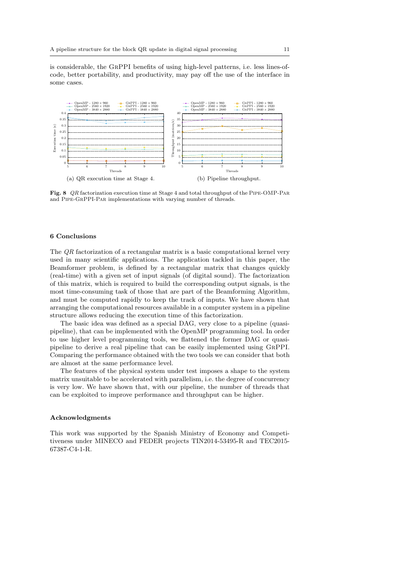is considerable, the GrPPI benefits of using high-level patterns, i.e. less lines-ofcode, better portability, and productivity, may pay off the use of the interface in some cases.



Fig. 8 QR factorization execution time at Stage 4 and total throughput of the Pipe-OMP-Par and Pipe-GrPPI-Par implementations with varying number of threads.

# 6 Conclusions

The QR factorization of a rectangular matrix is a basic computational kernel very used in many scientific applications. The application tackled in this paper, the Beamformer problem, is defined by a rectangular matrix that changes quickly (real-time) with a given set of input signals (of digital sound). The factorization of this matrix, which is required to build the corresponding output signals, is the most time-consuming task of those that are part of the Beamforming Algorithm, and must be computed rapidly to keep the track of inputs. We have shown that arranging the computational resources available in a computer system in a pipeline structure allows reducing the execution time of this factorization.

The basic idea was defined as a special DAG, very close to a pipeline (quasipipeline), that can be implemented with the OpenMP programming tool. In order to use higher level programming tools, we flattened the former DAG or quasipipeline to derive a real pipeline that can be easily implemented using GrPPI. Comparing the performance obtained with the two tools we can consider that both are almost at the same performance level.

The features of the physical system under test imposes a shape to the system matrix unsuitable to be accelerated with parallelism, i.e. the degree of concurrency is very low. We have shown that, with our pipeline, the number of threads that can be exploited to improve performance and throughput can be higher.

#### Acknowledgments

This work was supported by the Spanish Ministry of Economy and Competitiveness under MINECO and FEDER projects TIN2014-53495-R and TEC2015- 67387-C4-1-R.